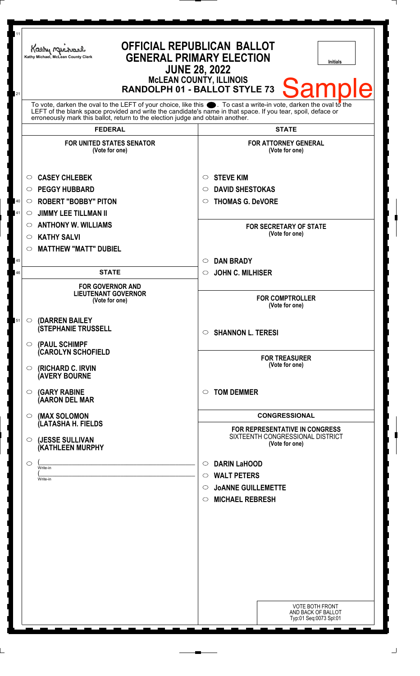| 11           | Kathy Michael<br>Kathy Michael, McLean County Clerk                                                                                                                                                                                                                                                                          | <b>OFFICIAL REPUBLICAN BALLOT</b><br><b>GENERAL PRIMARY ELECTION</b><br><b>Initials</b><br><b>JUNE 28, 2022</b>                               |
|--------------|------------------------------------------------------------------------------------------------------------------------------------------------------------------------------------------------------------------------------------------------------------------------------------------------------------------------------|-----------------------------------------------------------------------------------------------------------------------------------------------|
| 21           |                                                                                                                                                                                                                                                                                                                              | <b>McLEAN COUNTY, ILLINOIS</b><br>Samp<br>RANDOLPH 01 - BALLOT STYLE 73                                                                       |
|              | To vote, darken the oval to the LEFT of your choice, like this $\bullet$ . To cast a write-in vote, darken the oval to the<br>LEFT of the blank space provided and write the candidate's name in that space. If you tear, spoil, deface or<br>erroneously mark this ballot, return to the election judge and obtain another. |                                                                                                                                               |
|              | <b>FEDERAL</b><br><b>FOR UNITED STATES SENATOR</b><br>(Vote for one)                                                                                                                                                                                                                                                         | <b>STATE</b><br><b>FOR ATTORNEY GENERAL</b><br>(Vote for one)                                                                                 |
| $40\,$<br>41 | <b>CASEY CHLEBEK</b><br>$\circ$<br><b>PEGGY HUBBARD</b><br>$\circ$<br><b>ROBERT "BOBBY" PITON</b><br>$\circ$<br><b>JIMMY LEE TILLMAN II</b><br>$\circ$<br><b>ANTHONY W. WILLIAMS</b><br>$\circ$<br><b>KATHY SALVI</b><br>$\circ$<br><b>MATTHEW "MATT" DUBIEL</b><br>$\circ$                                                  | <b>STEVE KIM</b><br>$\circ$<br><b>DAVID SHESTOKAS</b><br>O<br><b>THOMAS G. DeVORE</b><br>O<br><b>FOR SECRETARY OF STATE</b><br>(Vote for one) |
| 45<br>46     | <b>STATE</b>                                                                                                                                                                                                                                                                                                                 | <b>DAN BRADY</b><br>$\circ$<br><b>JOHN C. MILHISER</b><br>$\circ$                                                                             |
|              | <b>FOR GOVERNOR AND</b><br><b>LIEUTENANT GOVERNOR</b><br>(Vote for one)                                                                                                                                                                                                                                                      | <b>FOR COMPTROLLER</b><br>(Vote for one)                                                                                                      |
| 51           | (DARREN BAILEY<br>$\circ$<br><b>(STEPHANIE TRUSSELL</b><br>$\circ$ (PAUL SCHIMPF                                                                                                                                                                                                                                             | $\circ$ SHANNON L. TERESI                                                                                                                     |
|              | <b>CAROLYN SCHOFIELD</b><br>(RICHARD C. IRVIN<br>$\circ$<br><b>AVERY BOURNE</b>                                                                                                                                                                                                                                              | <b>FOR TREASURER</b><br>(Vote for one)                                                                                                        |
|              | <b>(GARY RABINE</b><br>$\circ$<br>(AARON DEL MAR                                                                                                                                                                                                                                                                             | <b>TOM DEMMER</b><br>◯                                                                                                                        |
|              | (MAX SOLOMON<br>$\bigcirc$<br>(LATASHA H. FIELDS                                                                                                                                                                                                                                                                             | <b>CONGRESSIONAL</b>                                                                                                                          |
|              | (JESSE SULLIVAN<br>$\circ$<br>(KATHLEEN MURPHY                                                                                                                                                                                                                                                                               | <b>FOR REPRESENTATIVE IN CONGRESS</b><br>SIXTEENTH CONGRESSIONAL DISTRICT<br>(Vote for one)                                                   |
|              | $\circ$<br>Write-in<br>Write-in                                                                                                                                                                                                                                                                                              | <b>DARIN LaHOOD</b><br>$\circ$<br><b>WALT PETERS</b><br>$\circ$<br><b>JOANNE GUILLEMETTE</b><br>$\circ$<br><b>MICHAEL REBRESH</b><br>$\circ$  |
|              |                                                                                                                                                                                                                                                                                                                              | <b>VOTE BOTH FRONT</b><br>AND BACK OF BALLOT<br>Typ:01 Seq:0073 Spl:01                                                                        |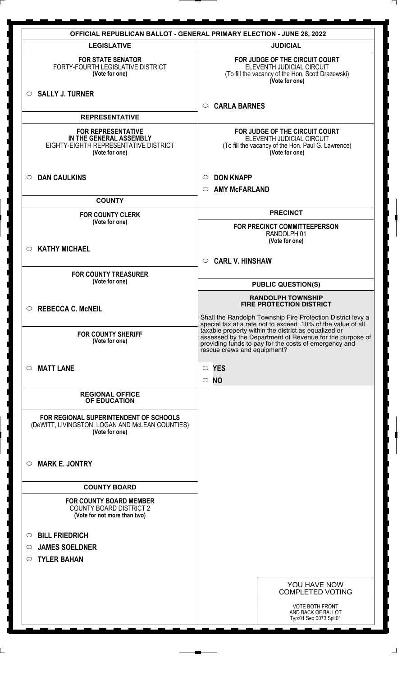| <b>LEGISLATIVE</b><br><b>JUDICIAL</b><br>FOR JUDGE OF THE CIRCUIT COURT<br><b>FOR STATE SENATOR</b><br>FORTY-FOURTH LEGISLATIVE DISTRICT<br>ELEVENTH JUDICIAL CIRCUIT<br>(Vote for one)<br>(To fill the vacancy of the Hon. Scott Drazewski)<br>(Vote for one)<br>$\circ$ SALLY J. TURNER<br><b>CARLA BARNES</b><br>$\bigcirc$<br><b>REPRESENTATIVE</b><br>FOR JUDGE OF THE CIRCUIT COURT<br><b>FOR REPRESENTATIVE</b><br>IN THE GENERAL ASSEMBLY<br>ELEVENTH JUDICIAL CIRCUIT<br>EIGHTY-EIGHTH REPRESENTATIVE DISTRICT<br>(To fill the vacancy of the Hon. Paul G. Lawrence)<br>(Vote for one)<br>(Vote for one)<br><b>DAN CAULKINS</b><br><b>DON KNAPP</b><br>$\circ$<br>$\circ$<br><b>AMY McFARLAND</b><br>$\circ$<br><b>COUNTY</b><br><b>PRECINCT</b><br><b>FOR COUNTY CLERK</b><br>(Vote for one)<br>FOR PRECINCT COMMITTEEPERSON<br>RANDOLPH 01<br>(Vote for one)<br><b>KATHY MICHAEL</b><br>$\circ$<br><b>CARL V. HINSHAW</b><br>$\circ$<br><b>FOR COUNTY TREASURER</b><br>(Vote for one)<br><b>PUBLIC QUESTION(S)</b><br><b>RANDOLPH TOWNSHIP</b><br><b>FIRE PROTECTION DISTRICT</b><br><b>REBECCA C. McNEIL</b><br>$\circ$<br>Shall the Randolph Township Fire Protection District levy a<br>special tax at a rate not to exceed .10% of the value of all<br>taxable property within the district as equalized or<br><b>FOR COUNTY SHERIFF</b><br>assessed by the Department of Revenue for the purpose of<br>(Vote for one)<br>providing funds to pay for the costs of emergency and<br>rescue crews and equipment?<br><b>MATT LANE</b><br>$\circ$ YES<br>$\circ$<br>ΝO<br>$\circ$<br><b>REGIONAL OFFICE</b><br>OF EDUCATION<br>FOR REGIONAL SUPERINTENDENT OF SCHOOLS<br>(DeWITT, LIVINGSTON, LOGAN AND McLEAN COUNTIES)<br>(Vote for one)<br><b>MARK E. JONTRY</b><br>$\circ$<br><b>COUNTY BOARD</b><br><b>FOR COUNTY BOARD MEMBER</b><br><b>COUNTY BOARD DISTRICT 2</b><br>(Vote for not more than two)<br><b>BILL FRIEDRICH</b><br>$\circ$<br><b>JAMES SOELDNER</b><br>$\circ$<br><b>TYLER BAHAN</b><br>$\circ$<br>YOU HAVE NOW<br><b>COMPLETED VOTING</b><br><b>VOTE BOTH FRONT</b><br>AND BACK OF BALLOT | <b>OFFICIAL REPUBLICAN BALLOT - GENERAL PRIMARY ELECTION - JUNE 28, 2022</b> |                        |  |  |  |
|--------------------------------------------------------------------------------------------------------------------------------------------------------------------------------------------------------------------------------------------------------------------------------------------------------------------------------------------------------------------------------------------------------------------------------------------------------------------------------------------------------------------------------------------------------------------------------------------------------------------------------------------------------------------------------------------------------------------------------------------------------------------------------------------------------------------------------------------------------------------------------------------------------------------------------------------------------------------------------------------------------------------------------------------------------------------------------------------------------------------------------------------------------------------------------------------------------------------------------------------------------------------------------------------------------------------------------------------------------------------------------------------------------------------------------------------------------------------------------------------------------------------------------------------------------------------------------------------------------------------------------------------------------------------------------------------------------------------------------------------------------------------------------------------------------------------------------------------------------------------------------------------------------------------------------------------------------------------------------------------------------------------------------------------------------------------------------------------------------------------------|------------------------------------------------------------------------------|------------------------|--|--|--|
|                                                                                                                                                                                                                                                                                                                                                                                                                                                                                                                                                                                                                                                                                                                                                                                                                                                                                                                                                                                                                                                                                                                                                                                                                                                                                                                                                                                                                                                                                                                                                                                                                                                                                                                                                                                                                                                                                                                                                                                                                                                                                                                          |                                                                              |                        |  |  |  |
|                                                                                                                                                                                                                                                                                                                                                                                                                                                                                                                                                                                                                                                                                                                                                                                                                                                                                                                                                                                                                                                                                                                                                                                                                                                                                                                                                                                                                                                                                                                                                                                                                                                                                                                                                                                                                                                                                                                                                                                                                                                                                                                          |                                                                              |                        |  |  |  |
|                                                                                                                                                                                                                                                                                                                                                                                                                                                                                                                                                                                                                                                                                                                                                                                                                                                                                                                                                                                                                                                                                                                                                                                                                                                                                                                                                                                                                                                                                                                                                                                                                                                                                                                                                                                                                                                                                                                                                                                                                                                                                                                          |                                                                              |                        |  |  |  |
|                                                                                                                                                                                                                                                                                                                                                                                                                                                                                                                                                                                                                                                                                                                                                                                                                                                                                                                                                                                                                                                                                                                                                                                                                                                                                                                                                                                                                                                                                                                                                                                                                                                                                                                                                                                                                                                                                                                                                                                                                                                                                                                          |                                                                              |                        |  |  |  |
|                                                                                                                                                                                                                                                                                                                                                                                                                                                                                                                                                                                                                                                                                                                                                                                                                                                                                                                                                                                                                                                                                                                                                                                                                                                                                                                                                                                                                                                                                                                                                                                                                                                                                                                                                                                                                                                                                                                                                                                                                                                                                                                          |                                                                              |                        |  |  |  |
|                                                                                                                                                                                                                                                                                                                                                                                                                                                                                                                                                                                                                                                                                                                                                                                                                                                                                                                                                                                                                                                                                                                                                                                                                                                                                                                                                                                                                                                                                                                                                                                                                                                                                                                                                                                                                                                                                                                                                                                                                                                                                                                          |                                                                              |                        |  |  |  |
|                                                                                                                                                                                                                                                                                                                                                                                                                                                                                                                                                                                                                                                                                                                                                                                                                                                                                                                                                                                                                                                                                                                                                                                                                                                                                                                                                                                                                                                                                                                                                                                                                                                                                                                                                                                                                                                                                                                                                                                                                                                                                                                          |                                                                              |                        |  |  |  |
|                                                                                                                                                                                                                                                                                                                                                                                                                                                                                                                                                                                                                                                                                                                                                                                                                                                                                                                                                                                                                                                                                                                                                                                                                                                                                                                                                                                                                                                                                                                                                                                                                                                                                                                                                                                                                                                                                                                                                                                                                                                                                                                          |                                                                              |                        |  |  |  |
|                                                                                                                                                                                                                                                                                                                                                                                                                                                                                                                                                                                                                                                                                                                                                                                                                                                                                                                                                                                                                                                                                                                                                                                                                                                                                                                                                                                                                                                                                                                                                                                                                                                                                                                                                                                                                                                                                                                                                                                                                                                                                                                          |                                                                              |                        |  |  |  |
|                                                                                                                                                                                                                                                                                                                                                                                                                                                                                                                                                                                                                                                                                                                                                                                                                                                                                                                                                                                                                                                                                                                                                                                                                                                                                                                                                                                                                                                                                                                                                                                                                                                                                                                                                                                                                                                                                                                                                                                                                                                                                                                          |                                                                              |                        |  |  |  |
|                                                                                                                                                                                                                                                                                                                                                                                                                                                                                                                                                                                                                                                                                                                                                                                                                                                                                                                                                                                                                                                                                                                                                                                                                                                                                                                                                                                                                                                                                                                                                                                                                                                                                                                                                                                                                                                                                                                                                                                                                                                                                                                          |                                                                              |                        |  |  |  |
|                                                                                                                                                                                                                                                                                                                                                                                                                                                                                                                                                                                                                                                                                                                                                                                                                                                                                                                                                                                                                                                                                                                                                                                                                                                                                                                                                                                                                                                                                                                                                                                                                                                                                                                                                                                                                                                                                                                                                                                                                                                                                                                          |                                                                              |                        |  |  |  |
|                                                                                                                                                                                                                                                                                                                                                                                                                                                                                                                                                                                                                                                                                                                                                                                                                                                                                                                                                                                                                                                                                                                                                                                                                                                                                                                                                                                                                                                                                                                                                                                                                                                                                                                                                                                                                                                                                                                                                                                                                                                                                                                          |                                                                              |                        |  |  |  |
|                                                                                                                                                                                                                                                                                                                                                                                                                                                                                                                                                                                                                                                                                                                                                                                                                                                                                                                                                                                                                                                                                                                                                                                                                                                                                                                                                                                                                                                                                                                                                                                                                                                                                                                                                                                                                                                                                                                                                                                                                                                                                                                          |                                                                              |                        |  |  |  |
|                                                                                                                                                                                                                                                                                                                                                                                                                                                                                                                                                                                                                                                                                                                                                                                                                                                                                                                                                                                                                                                                                                                                                                                                                                                                                                                                                                                                                                                                                                                                                                                                                                                                                                                                                                                                                                                                                                                                                                                                                                                                                                                          |                                                                              |                        |  |  |  |
|                                                                                                                                                                                                                                                                                                                                                                                                                                                                                                                                                                                                                                                                                                                                                                                                                                                                                                                                                                                                                                                                                                                                                                                                                                                                                                                                                                                                                                                                                                                                                                                                                                                                                                                                                                                                                                                                                                                                                                                                                                                                                                                          |                                                                              |                        |  |  |  |
|                                                                                                                                                                                                                                                                                                                                                                                                                                                                                                                                                                                                                                                                                                                                                                                                                                                                                                                                                                                                                                                                                                                                                                                                                                                                                                                                                                                                                                                                                                                                                                                                                                                                                                                                                                                                                                                                                                                                                                                                                                                                                                                          |                                                                              |                        |  |  |  |
|                                                                                                                                                                                                                                                                                                                                                                                                                                                                                                                                                                                                                                                                                                                                                                                                                                                                                                                                                                                                                                                                                                                                                                                                                                                                                                                                                                                                                                                                                                                                                                                                                                                                                                                                                                                                                                                                                                                                                                                                                                                                                                                          |                                                                              |                        |  |  |  |
|                                                                                                                                                                                                                                                                                                                                                                                                                                                                                                                                                                                                                                                                                                                                                                                                                                                                                                                                                                                                                                                                                                                                                                                                                                                                                                                                                                                                                                                                                                                                                                                                                                                                                                                                                                                                                                                                                                                                                                                                                                                                                                                          |                                                                              |                        |  |  |  |
|                                                                                                                                                                                                                                                                                                                                                                                                                                                                                                                                                                                                                                                                                                                                                                                                                                                                                                                                                                                                                                                                                                                                                                                                                                                                                                                                                                                                                                                                                                                                                                                                                                                                                                                                                                                                                                                                                                                                                                                                                                                                                                                          |                                                                              |                        |  |  |  |
|                                                                                                                                                                                                                                                                                                                                                                                                                                                                                                                                                                                                                                                                                                                                                                                                                                                                                                                                                                                                                                                                                                                                                                                                                                                                                                                                                                                                                                                                                                                                                                                                                                                                                                                                                                                                                                                                                                                                                                                                                                                                                                                          |                                                                              |                        |  |  |  |
|                                                                                                                                                                                                                                                                                                                                                                                                                                                                                                                                                                                                                                                                                                                                                                                                                                                                                                                                                                                                                                                                                                                                                                                                                                                                                                                                                                                                                                                                                                                                                                                                                                                                                                                                                                                                                                                                                                                                                                                                                                                                                                                          |                                                                              |                        |  |  |  |
|                                                                                                                                                                                                                                                                                                                                                                                                                                                                                                                                                                                                                                                                                                                                                                                                                                                                                                                                                                                                                                                                                                                                                                                                                                                                                                                                                                                                                                                                                                                                                                                                                                                                                                                                                                                                                                                                                                                                                                                                                                                                                                                          |                                                                              |                        |  |  |  |
|                                                                                                                                                                                                                                                                                                                                                                                                                                                                                                                                                                                                                                                                                                                                                                                                                                                                                                                                                                                                                                                                                                                                                                                                                                                                                                                                                                                                                                                                                                                                                                                                                                                                                                                                                                                                                                                                                                                                                                                                                                                                                                                          |                                                                              |                        |  |  |  |
|                                                                                                                                                                                                                                                                                                                                                                                                                                                                                                                                                                                                                                                                                                                                                                                                                                                                                                                                                                                                                                                                                                                                                                                                                                                                                                                                                                                                                                                                                                                                                                                                                                                                                                                                                                                                                                                                                                                                                                                                                                                                                                                          |                                                                              |                        |  |  |  |
|                                                                                                                                                                                                                                                                                                                                                                                                                                                                                                                                                                                                                                                                                                                                                                                                                                                                                                                                                                                                                                                                                                                                                                                                                                                                                                                                                                                                                                                                                                                                                                                                                                                                                                                                                                                                                                                                                                                                                                                                                                                                                                                          |                                                                              |                        |  |  |  |
|                                                                                                                                                                                                                                                                                                                                                                                                                                                                                                                                                                                                                                                                                                                                                                                                                                                                                                                                                                                                                                                                                                                                                                                                                                                                                                                                                                                                                                                                                                                                                                                                                                                                                                                                                                                                                                                                                                                                                                                                                                                                                                                          |                                                                              |                        |  |  |  |
|                                                                                                                                                                                                                                                                                                                                                                                                                                                                                                                                                                                                                                                                                                                                                                                                                                                                                                                                                                                                                                                                                                                                                                                                                                                                                                                                                                                                                                                                                                                                                                                                                                                                                                                                                                                                                                                                                                                                                                                                                                                                                                                          |                                                                              |                        |  |  |  |
|                                                                                                                                                                                                                                                                                                                                                                                                                                                                                                                                                                                                                                                                                                                                                                                                                                                                                                                                                                                                                                                                                                                                                                                                                                                                                                                                                                                                                                                                                                                                                                                                                                                                                                                                                                                                                                                                                                                                                                                                                                                                                                                          |                                                                              | Typ:01 Seq:0073 Spl:01 |  |  |  |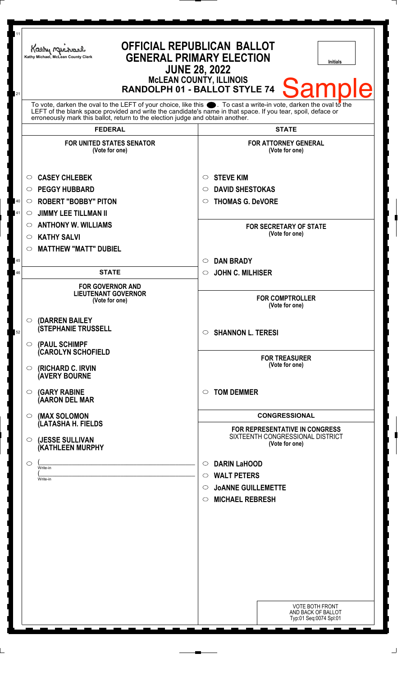| 11<br>21 | Kathy Michael<br>Kathy Michael, McLean County Clerk                                                                                                                                                                                                                                                                | <b>OFFICIAL REPUBLICAN BALLOT</b><br><b>GENERAL PRIMARY ELECTION</b><br><b>Initials</b><br><b>JUNE 28, 2022</b><br><b>MCLEAN COUNTY, ILLINOIS</b><br><b>Sample</b><br>RANDOLPH 01 - BALLOT STYLE 74 |
|----------|--------------------------------------------------------------------------------------------------------------------------------------------------------------------------------------------------------------------------------------------------------------------------------------------------------------------|-----------------------------------------------------------------------------------------------------------------------------------------------------------------------------------------------------|
|          | To vote, darken the oval to the LEFT of your choice, like this . To cast a write-in vote, darken the oval to the<br>LEFT of the blank space provided and write the candidate's name in that space. If you tear, spoil, deface or<br>erroneously mark this ballot, return to the election judge and obtain another. |                                                                                                                                                                                                     |
|          | <b>FEDERAL</b>                                                                                                                                                                                                                                                                                                     | <b>STATE</b>                                                                                                                                                                                        |
|          | <b>FOR UNITED STATES SENATOR</b><br>(Vote for one)                                                                                                                                                                                                                                                                 | <b>FOR ATTORNEY GENERAL</b><br>(Vote for one)                                                                                                                                                       |
|          | <b>CASEY CHLEBEK</b><br>O                                                                                                                                                                                                                                                                                          | <b>STEVE KIM</b><br>$\circ$                                                                                                                                                                         |
|          | <b>PEGGY HUBBARD</b><br>O                                                                                                                                                                                                                                                                                          | <b>DAVID SHESTOKAS</b><br>○                                                                                                                                                                         |
| 40       | <b>ROBERT "BOBBY" PITON</b><br>$\circ$                                                                                                                                                                                                                                                                             | <b>THOMAS G. DeVORE</b><br>O                                                                                                                                                                        |
| 41       | <b>JIMMY LEE TILLMAN II</b><br>$\circ$                                                                                                                                                                                                                                                                             |                                                                                                                                                                                                     |
|          | <b>ANTHONY W. WILLIAMS</b><br>O                                                                                                                                                                                                                                                                                    | <b>FOR SECRETARY OF STATE</b>                                                                                                                                                                       |
|          | <b>KATHY SALVI</b><br>O                                                                                                                                                                                                                                                                                            | (Vote for one)                                                                                                                                                                                      |
|          | <b>MATTHEW "MATT" DUBIEL</b><br>O                                                                                                                                                                                                                                                                                  |                                                                                                                                                                                                     |
| 45       |                                                                                                                                                                                                                                                                                                                    | <b>DAN BRADY</b><br>$\circ$                                                                                                                                                                         |
| 46       | <b>STATE</b>                                                                                                                                                                                                                                                                                                       | <b>JOHN C. MILHISER</b><br>$\circ$                                                                                                                                                                  |
|          | <b>FOR GOVERNOR AND</b><br><b>LIEUTENANT GOVERNOR</b><br>(Vote for one)                                                                                                                                                                                                                                            | <b>FOR COMPTROLLER</b><br>(Vote for one)                                                                                                                                                            |
| 52       | (DARREN BAILEY<br>$\circ$<br><b>(STEPHANIE TRUSSELL</b><br>$\circ$ (PAUL SCHIMPF                                                                                                                                                                                                                                   | <b>SHANNON L. TERESI</b><br>$\circ$                                                                                                                                                                 |
|          | (CAROLYN SCHOFIELD<br>(RICHARD C. IRVIN<br>$\circ$<br><b>(AVERY BOURNE</b>                                                                                                                                                                                                                                         | <b>FOR TREASURER</b><br>(Vote for one)                                                                                                                                                              |
|          | <b>(GARY RABINE</b><br>O<br>(AARON DEL MAR                                                                                                                                                                                                                                                                         | <b>TOM DEMMER</b><br>$\circ$                                                                                                                                                                        |
|          | (MAX SOLOMON<br>O                                                                                                                                                                                                                                                                                                  | <b>CONGRESSIONAL</b>                                                                                                                                                                                |
|          | (LATASHA H. FIELDS<br>(JESSE SULLIVAN<br>O<br>(KATHLEEN MURPHY                                                                                                                                                                                                                                                     | FOR REPRESENTATIVE IN CONGRESS<br>SIXTEENTH CONGRESSIONAL DISTRICT<br>(Vote for one)                                                                                                                |
|          | O<br>Write-in                                                                                                                                                                                                                                                                                                      | <b>DARIN LaHOOD</b><br>$\circ$                                                                                                                                                                      |
|          | Write-in                                                                                                                                                                                                                                                                                                           | <b>WALT PETERS</b><br>$\circ$                                                                                                                                                                       |
|          |                                                                                                                                                                                                                                                                                                                    | <b>JOANNE GUILLEMETTE</b><br>$\circ$                                                                                                                                                                |
|          |                                                                                                                                                                                                                                                                                                                    | <b>MICHAEL REBRESH</b><br>$\circ$                                                                                                                                                                   |
|          |                                                                                                                                                                                                                                                                                                                    |                                                                                                                                                                                                     |
|          |                                                                                                                                                                                                                                                                                                                    |                                                                                                                                                                                                     |
|          |                                                                                                                                                                                                                                                                                                                    |                                                                                                                                                                                                     |
|          |                                                                                                                                                                                                                                                                                                                    |                                                                                                                                                                                                     |
|          |                                                                                                                                                                                                                                                                                                                    |                                                                                                                                                                                                     |
|          |                                                                                                                                                                                                                                                                                                                    |                                                                                                                                                                                                     |
|          |                                                                                                                                                                                                                                                                                                                    |                                                                                                                                                                                                     |
|          |                                                                                                                                                                                                                                                                                                                    | <b>VOTE BOTH FRONT</b><br>AND BACK OF BALLOT<br>Typ:01 Seq:0074 Spl:01                                                                                                                              |